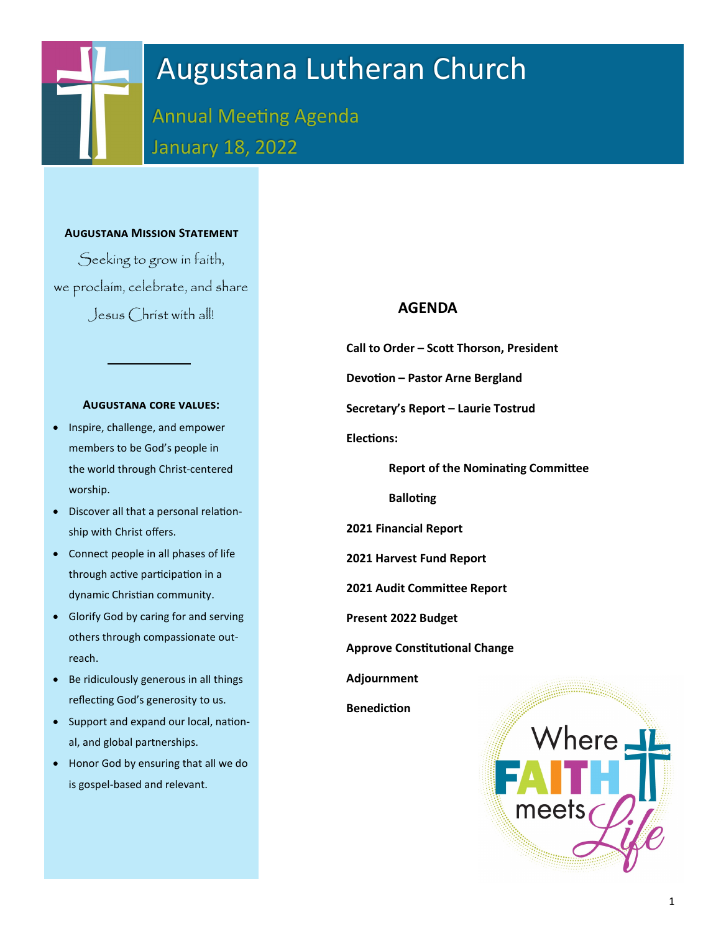# Augustana Lutheran Church

Annual Meeting Agenda January 18, 2022

### **Augustana Mission Statement**

Seeking to grow in faith, we proclaim, celebrate, and share Jesus Christ with all!

#### **Augustana core values:**

- Inspire, challenge, and empower members to be God's people in the world through Christ-centered worship.
- Discover all that a personal relationship with Christ offers.
- Connect people in all phases of life through active participation in a dynamic Christian community.
- Glorify God by caring for and serving others through compassionate outreach.
- Be ridiculously generous in all things reflecting God's generosity to us.
- Support and expand our local, national, and global partnerships.
- Honor God by ensuring that all we do is gospel-based and relevant.

# **AGENDA**

**Call to Order – Scott Thorson, President**

**Devotion – Pastor Arne Bergland**

**Secretary's Report – Laurie Tostrud**

**Elections:**

**Report of the Nominating Committee**

**Balloting**

**2021 Financial Report**

**2021 Harvest Fund Report**

**2021 Audit Committee Report**

 **Present 2022 Budget** 

**Approve Constitutional Change** 

**Adjournment**

**Benediction**